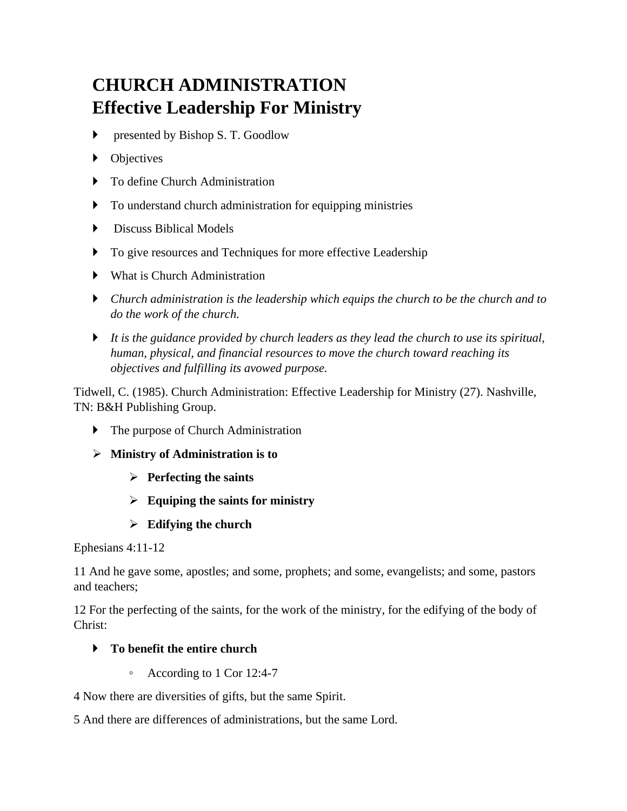# **CHURCH ADMINISTRATION Effective Leadership For Ministry**

- **Performance** by Bishop S. T. Goodlow
- Objectives
- ▶ To define Church Administration
- To understand church administration for equipping ministries
- **Discuss Biblical Models**
- $\triangleright$  To give resources and Techniques for more effective Leadership
- What is Church Administration
- *Church administration is the leadership which equips the church to be the church and to do the work of the church.*
- *It is the guidance provided by church leaders as they lead the church to use its spiritual, human, physical, and financial resources to move the church toward reaching its objectives and fulfilling its avowed purpose.*

Tidwell, C. (1985). Church Administration: Effective Leadership for Ministry (27). Nashville, TN: B&H Publishing Group.

- **The purpose of Church Administration**
- ➢ **Ministry of Administration is to** 
	- ➢ **Perfecting the saints**
	- ➢ **Equiping the saints for ministry**
	- ➢ **Edifying the church**

Ephesians 4:11-12

11 And he gave some, apostles; and some, prophets; and some, evangelists; and some, pastors and teachers;

12 For the perfecting of the saints, for the work of the ministry, for the edifying of the body of Christ:

# **To benefit the entire church**

◦ According to 1 Cor 12:4-7

4 Now there are diversities of gifts, but the same Spirit.

5 And there are differences of administrations, but the same Lord.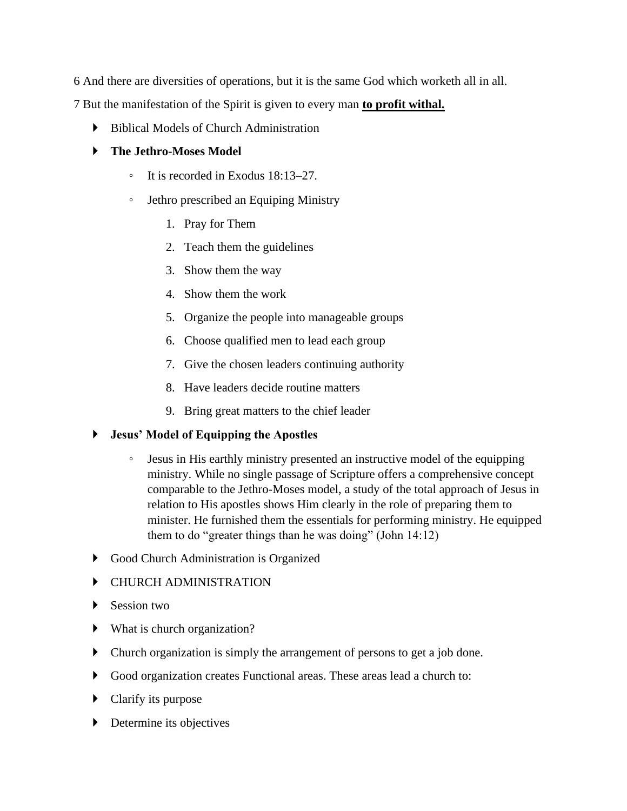6 And there are diversities of operations, but it is the same God which worketh all in all.

7 But the manifestation of the Spirit is given to every man **to profit withal.**

Biblical Models of Church Administration

#### **The Jethro-Moses Model**

- It is recorded in Exodus 18:13–27.
- Jethro prescribed an Equiping Ministry
	- 1. Pray for Them
	- 2. Teach them the guidelines
	- 3. Show them the way
	- 4. Show them the work
	- 5. Organize the people into manageable groups
	- 6. Choose qualified men to lead each group
	- 7. Give the chosen leaders continuing authority
	- 8. Have leaders decide routine matters
	- 9. Bring great matters to the chief leader

## **Jesus' Model of Equipping the Apostles**

- Jesus in His earthly ministry presented an instructive model of the equipping ministry. While no single passage of Scripture offers a comprehensive concept comparable to the Jethro-Moses model, a study of the total approach of Jesus in relation to His apostles shows Him clearly in the role of preparing them to minister. He furnished them the essentials for performing ministry. He equipped them to do "greater things than he was doing" (John 14:12)
- Good Church Administration is Organized

## CHURCH ADMINISTRATION

- Session two
- What is church organization?
- Church organization is simply the arrangement of persons to get a job done.
- Good organization creates Functional areas. These areas lead a church to:
- **Clarify its purpose**
- Determine its objectives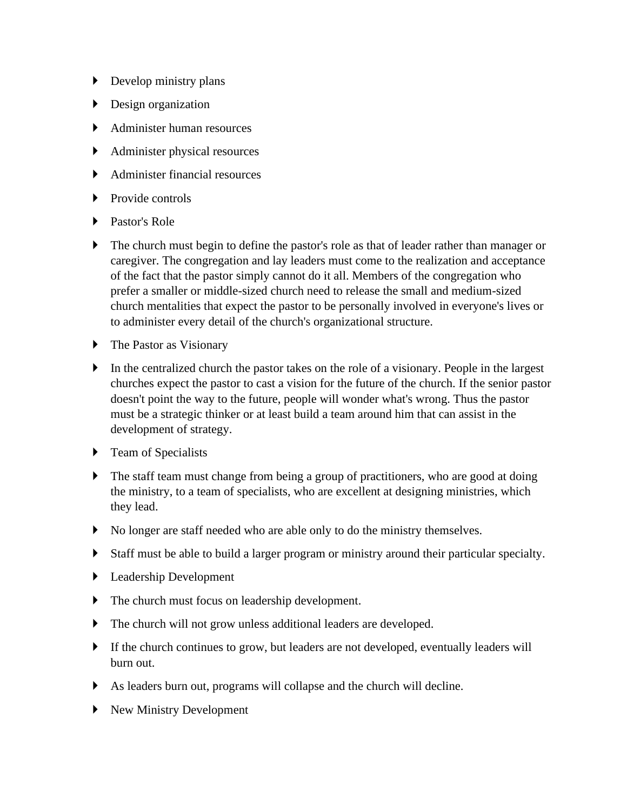- Develop ministry plans
- Design organization
- Administer human resources
- Administer physical resources
- Administer financial resources
- $\triangleright$  Provide controls
- ▶ Pastor's Role
- The church must begin to define the pastor's role as that of leader rather than manager or caregiver. The congregation and lay leaders must come to the realization and acceptance of the fact that the pastor simply cannot do it all. Members of the congregation who prefer a smaller or middle-sized church need to release the small and medium-sized church mentalities that expect the pastor to be personally involved in everyone's lives or to administer every detail of the church's organizational structure.
- The Pastor as Visionary
- In the centralized church the pastor takes on the role of a visionary. People in the largest churches expect the pastor to cast a vision for the future of the church. If the senior pastor doesn't point the way to the future, people will wonder what's wrong. Thus the pastor must be a strategic thinker or at least build a team around him that can assist in the development of strategy.
- **F** Team of Specialists
- The staff team must change from being a group of practitioners, who are good at doing the ministry, to a team of specialists, who are excellent at designing ministries, which they lead.
- No longer are staff needed who are able only to do the ministry themselves.
- Staff must be able to build a larger program or ministry around their particular specialty.
- Leadership Development
- The church must focus on leadership development.
- The church will not grow unless additional leaders are developed.
- If the church continues to grow, but leaders are not developed, eventually leaders will burn out.
- As leaders burn out, programs will collapse and the church will decline.
- New Ministry Development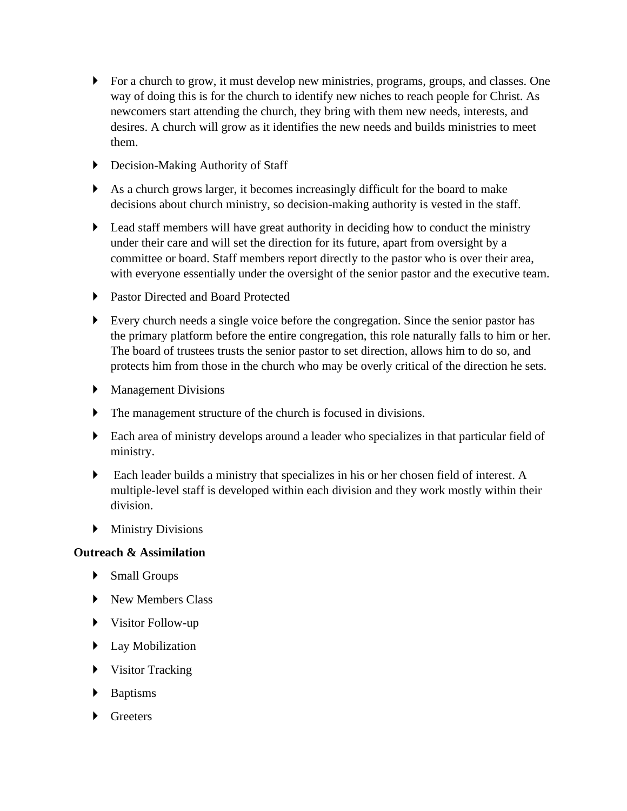- For a church to grow, it must develop new ministries, programs, groups, and classes. One way of doing this is for the church to identify new niches to reach people for Christ. As newcomers start attending the church, they bring with them new needs, interests, and desires. A church will grow as it identifies the new needs and builds ministries to meet them.
- ▶ Decision-Making Authority of Staff
- As a church grows larger, it becomes increasingly difficult for the board to make decisions about church ministry, so decision-making authority is vested in the staff.
- Lead staff members will have great authority in deciding how to conduct the ministry under their care and will set the direction for its future, apart from oversight by a committee or board. Staff members report directly to the pastor who is over their area, with everyone essentially under the oversight of the senior pastor and the executive team.
- ▶ Pastor Directed and Board Protected
- Every church needs a single voice before the congregation. Since the senior pastor has the primary platform before the entire congregation, this role naturally falls to him or her. The board of trustees trusts the senior pastor to set direction, allows him to do so, and protects him from those in the church who may be overly critical of the direction he sets.
- **Management Divisions**
- The management structure of the church is focused in divisions.
- Each area of ministry develops around a leader who specializes in that particular field of ministry.
- Each leader builds a ministry that specializes in his or her chosen field of interest. A multiple-level staff is developed within each division and they work mostly within their division.
- **Ministry Divisions**

#### **Outreach & Assimilation**

- Small Groups
- New Members Class
- Visitor Follow-up
- $\blacktriangleright$  Lay Mobilization
- Visitor Tracking
- Baptisms
- **Greeters**